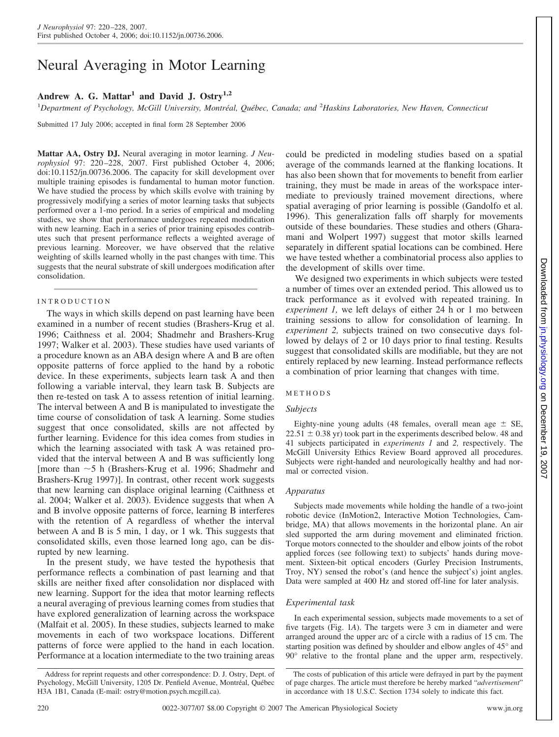# Neural Averaging in Motor Learning

# **Andrew A. G. Mattar<sup>1</sup> and David J. Ostry1,2**

<sup>1</sup>Department of Psychology, McGill University, Montréal, Québec, Canada; and <sup>2</sup>Haskins Laboratories, New Haven, Connecticut

Submitted 17 July 2006; accepted in final form 28 September 2006

**Mattar AA, Ostry DJ.** Neural averaging in motor learning. *J Neurophysiol* 97: 220 –228, 2007. First published October 4, 2006; doi:10.1152/jn.00736.2006. The capacity for skill development over multiple training episodes is fundamental to human motor function. We have studied the process by which skills evolve with training by progressively modifying a series of motor learning tasks that subjects performed over a 1-mo period. In a series of empirical and modeling studies, we show that performance undergoes repeated modification with new learning. Each in a series of prior training episodes contributes such that present performance reflects a weighted average of previous learning. Moreover, we have observed that the relative weighting of skills learned wholly in the past changes with time. This suggests that the neural substrate of skill undergoes modification after consolidation.

# INTRODUCTION

The ways in which skills depend on past learning have been examined in a number of recent studies (Brashers-Krug et al. 1996; Caithness et al. 2004; Shadmehr and Brashers-Krug 1997; Walker et al. 2003). These studies have used variants of a procedure known as an ABA design where A and B are often opposite patterns of force applied to the hand by a robotic device. In these experiments, subjects learn task A and then following a variable interval, they learn task B. Subjects are then re-tested on task A to assess retention of initial learning. The interval between A and B is manipulated to investigate the time course of consolidation of task A learning. Some studies suggest that once consolidated, skills are not affected by further learning. Evidence for this idea comes from studies in which the learning associated with task A was retained provided that the interval between A and B was sufficiently long [more than  $\sim$  5 h (Brashers-Krug et al. 1996; Shadmehr and Brashers-Krug 1997)]. In contrast, other recent work suggests that new learning can displace original learning (Caithness et al. 2004; Walker et al. 2003). Evidence suggests that when A and B involve opposite patterns of force, learning B interferes with the retention of A regardless of whether the interval between A and B is 5 min, 1 day, or 1 wk. This suggests that consolidated skills, even those learned long ago, can be disrupted by new learning.

In the present study, we have tested the hypothesis that performance reflects a combination of past learning and that skills are neither fixed after consolidation nor displaced with new learning. Support for the idea that motor learning reflects a neural averaging of previous learning comes from studies that have explored generalization of learning across the workspace (Malfait et al. 2005). In these studies, subjects learned to make movements in each of two workspace locations. Different patterns of force were applied to the hand in each location. Performance at a location intermediate to the two training areas

could be predicted in modeling studies based on a spatial average of the commands learned at the flanking locations. It has also been shown that for movements to benefit from earlier training, they must be made in areas of the workspace intermediate to previously trained movement directions, where spatial averaging of prior learning is possible (Gandolfo et al. 1996). This generalization falls off sharply for movements outside of these boundaries. These studies and others (Gharamani and Wolpert 1997) suggest that motor skills learned separately in different spatial locations can be combined. Here we have tested whether a combinatorial process also applies to the development of skills over time.

We designed two experiments in which subjects were tested a number of times over an extended period. This allowed us to track performance as it evolved with repeated training. In *experiment 1,* we left delays of either 24 h or 1 mo between training sessions to allow for consolidation of learning. In *experiment 2,* subjects trained on two consecutive days followed by delays of 2 or 10 days prior to final testing. Results suggest that consolidated skills are modifiable, but they are not entirely replaced by new learning. Instead performance reflects a combination of prior learning that changes with time.

# METHODS

# *Subjects*

Eighty-nine young adults (48 females, overall mean age  $\pm$  SE,  $22.51 \pm 0.38$  yr) took part in the experiments described below. 48 and 41 subjects participated in *experiments 1* and *2,* respectively. The McGill University Ethics Review Board approved all procedures. Subjects were right-handed and neurologically healthy and had normal or corrected vision.

# *Apparatus*

Subjects made movements while holding the handle of a two-joint robotic device (InMotion2, Interactive Motion Technologies, Cambridge, MA) that allows movements in the horizontal plane. An air sled supported the arm during movement and eliminated friction. Torque motors connected to the shoulder and elbow joints of the robot applied forces (see following text) to subjects' hands during movement. Sixteen-bit optical encoders (Gurley Precision Instruments, Troy, NY) sensed the robot's (and hence the subject's) joint angles. Data were sampled at 400 Hz and stored off-line for later analysis.

# *Experimental task*

In each experimental session, subjects made movements to a set of five targets (Fig. 1*A*). The targets were 3 cm in diameter and were arranged around the upper arc of a circle with a radius of 15 cm. The starting position was defined by shoulder and elbow angles of 45° and 90° relative to the frontal plane and the upper arm, respectively.

Address for reprint requests and other correspondence: D. J. Ostry, Dept. of Psychology, McGill University, 1205 Dr. Penfield Avenue, Montréal, Québec H3A 1B1, Canada (E-mail: ostry@motion.psych.mcgill.ca).

The costs of publication of this article were defrayed in part by the payment of page charges. The article must therefore be hereby marked "*advertisement*" in accordance with 18 U.S.C. Section 1734 solely to indicate this fact.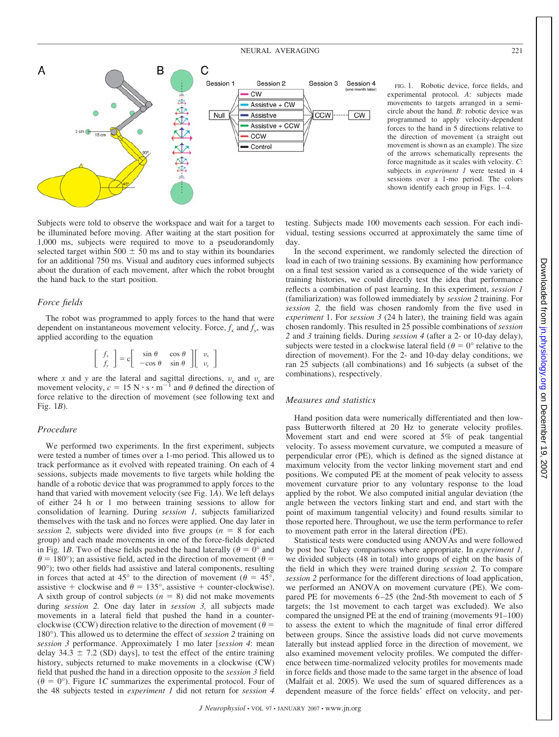

FIG. 1. Robotic device, force fields, and experimental protocol. *A*: subjects made movements to targets arranged in a semicircle about the hand. *B*: robotic device was programmed to apply velocity-dependent forces to the hand in 5 directions relative to the direction of movement (a straight out movement is shown as an example). The size of the arrows schematically represents the force magnitude as it scales with velocity. *C*: subjects in *experiment 1* were tested in 4 sessions over a 1-mo period. The colors shown identify each group in Figs. 1-4.

Subjects were told to observe the workspace and wait for a target to be illuminated before moving. After waiting at the start position for 1,000 ms, subjects were required to move to a pseudorandomly selected target within 500  $\pm$  50 ms and to stay within its boundaries for an additional 750 ms. Visual and auditory cues informed subjects about the duration of each movement, after which the robot brought the hand back to the start position.

#### *Force fields*

The robot was programmed to apply forces to the hand that were dependent on instantaneous movement velocity. Force,  $f_x$  and  $f_y$ , was applied according to the equation

$$
\begin{bmatrix} f_x \\ f_y \end{bmatrix} = c \begin{bmatrix} \sin \theta & \cos \theta \\ -\cos \theta & \sin \theta \end{bmatrix} \begin{bmatrix} v_x \\ v_y \end{bmatrix}
$$

where *x* and *y* are the lateral and sagittal directions,  $v_x$  and  $v_y$  are movement velocity,  $c = 15 \text{ N} \cdot \text{s} \cdot \text{m}^{-1}$  and  $\theta$  defined the direction of force relative to the direction of movement (see following text and Fig. 1*B*).

#### *Procedure*

We performed two experiments. In the first experiment, subjects were tested a number of times over a 1-mo period. This allowed us to track performance as it evolved with repeated training. On each of 4 sessions, subjects made movements to five targets while holding the handle of a robotic device that was programmed to apply forces to the hand that varied with movement velocity (see Fig. 1*A*). We left delays of either 24 h or 1 mo between training sessions to allow for consolidation of learning. During *session 1,* subjects familiarized themselves with the task and no forces were applied. One day later in *session 2,* subjects were divided into five groups  $(n = 8$  for each group) and each made movements in one of the force-fields depicted in Fig. 1*B*. Two of these fields pushed the hand laterally ( $\theta = 0^{\circ}$  and  $\theta = 180^{\circ}$ ); an assistive field, acted in the direction of movement ( $\theta =$ 90°); two other fields had assistive and lateral components, resulting in forces that acted at 45° to the direction of movement ( $\theta = 45^{\circ}$ , assistive + clockwise and  $\theta = 135^{\circ}$ , assistive + counter-clockwise). A sixth group of control subjects  $(n = 8)$  did not make movements during *session 2.* One day later in *session 3,* all subjects made movements in a lateral field that pushed the hand in a counterclockwise (CCW) direction relative to the direction of movement ( $\theta =$ 180°). This allowed us to determine the effect of *session 2* training on *session 3* performance. Approximately 1 mo later [*session 4*: mean delay 34.3  $\pm$  7.2 (SD) days], to test the effect of the entire training history, subjects returned to make movements in a clockwise (CW) field that pushed the hand in a direction opposite to the *session 3* field  $(\theta = 0^{\circ})$ . Figure 1*C* summarizes the experimental protocol. Four of the 48 subjects tested in *experiment 1* did not return for *session 4*

testing. Subjects made 100 movements each session. For each individual, testing sessions occurred at approximately the same time of day.

In the second experiment, we randomly selected the direction of load in each of two training sessions. By examining how performance on a final test session varied as a consequence of the wide variety of training histories, we could directly test the idea that performance reflects a combination of past learning. In this experiment, *session 1* (familiarization) was followed immediately by *session 2* training. For *session 2,* the field was chosen randomly from the five used in *experiment* 1. For *session 3* (24 h later), the training field was again chosen randomly. This resulted in 25 possible combinations of *session 2* and *3* training fields. During *session 4* (after a 2- or 10-day delay), subjects were tested in a clockwise lateral field ( $\theta = 0^{\circ}$  relative to the direction of movement). For the 2- and 10-day delay conditions, we ran 25 subjects (all combinations) and 16 subjects (a subset of the combinations), respectively.

#### *Measures and statistics*

Hand position data were numerically differentiated and then lowpass Butterworth filtered at 20 Hz to generate velocity profiles. Movement start and end were scored at 5% of peak tangential velocity. To assess movement curvature, we computed a measure of perpendicular error (PE), which is defined as the signed distance at maximum velocity from the vector linking movement start and end positions. We computed PE at the moment of peak velocity to assess movement curvature prior to any voluntary response to the load applied by the robot. We also computed initial angular deviation (the angle between the vectors linking start and end, and start with the point of maximum tangential velocity) and found results similar to those reported here. Throughout, we use the term performance to refer to movement path error in the lateral direction (PE).

Statistical tests were conducted using ANOVAs and were followed by post hoc Tukey comparisons where appropriate. In *experiment 1,* we divided subjects (48 in total) into groups of eight on the basis of the field in which they were trained during *session 2.* To compare *session 2* performance for the different directions of load application, we performed an ANOVA on movement curvature (PE). We compared PE for movements 6 –25 (the 2nd-5th movement to each of 5 targets; the 1st movement to each target was excluded). We also compared the unsigned PE at the end of training (movements 91–100) to assess the extent to which the magnitude of final error differed between groups. Since the assistive loads did not curve movements laterally but instead applied force in the direction of movement, we also examined movement velocity profiles. We computed the difference between time-normalized velocity profiles for movements made in force fields and those made to the same target in the absence of load (Malfait et al. 2005). We used the sum of squared differences as a dependent measure of the force fields' effect on velocity, and per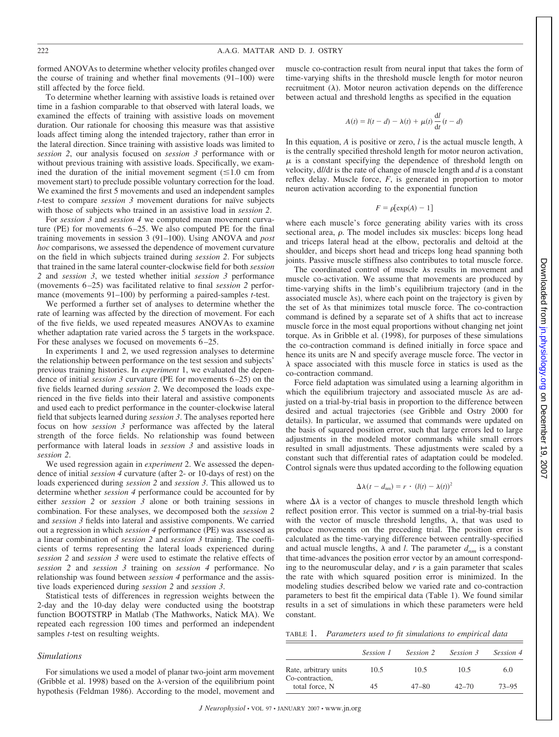formed ANOVAs to determine whether velocity profiles changed over the course of training and whether final movements (91–100) were still affected by the force field.

To determine whether learning with assistive loads is retained over time in a fashion comparable to that observed with lateral loads, we examined the effects of training with assistive loads on movement duration. Our rationale for choosing this measure was that assistive loads affect timing along the intended trajectory, rather than error in the lateral direction. Since training with assistive loads was limited to *session 2*, our analysis focused on *session 3* performance with or without previous training with assistive loads. Specifically, we examined the duration of the initial movement segment  $(\leq 1.0 \text{ cm from})$ movement start) to preclude possible voluntary correction for the load. We examined the first 5 movements and used an independent samples *t*-test to compare *session* 3 movement durations for naïve subjects with those of subjects who trained in an assistive load in *session 2*.

For *session 3* and *session 4* we computed mean movement curvature (PE) for movements  $6-25$ . We also computed PE for the final training movements in session 3 (91–100). Using ANOVA and *post hoc* comparisons, we assessed the dependence of movement curvature on the field in which subjects trained during *session 2*. For subjects that trained in the same lateral counter-clockwise field for both *session 2* and *session 3*, we tested whether initial *session 3* performance (movements 6 –25) was facilitated relative to final *session 2* performance (movements 91–100) by performing a paired-samples *t*-test.

We performed a further set of analyses to determine whether the rate of learning was affected by the direction of movement. For each of the five fields, we used repeated measures ANOVAs to examine whether adaptation rate varied across the 5 targets in the workspace. For these analyses we focused on movements  $6-25$ .

In experiments 1 and 2, we used regression analyses to determine the relationship between performance on the test session and subjects' previous training histories. In *experiment* 1, we evaluated the dependence of initial *session 3* curvature (PE for movements 6 –25) on the five fields learned during *session 2*. We decomposed the loads experienced in the five fields into their lateral and assistive components and used each to predict performance in the counter-clockwise lateral field that subjects learned during *session 3*. The analyses reported here focus on how *session 3* performance was affected by the lateral strength of the force fields. No relationship was found between performance with lateral loads in *session 3* and assistive loads in *session 2*.

We used regression again in *experiment* 2. We assessed the dependence of initial *session 4* curvature (after 2- or 10-days of rest) on the loads experienced during *session 2* and *session 3*. This allowed us to determine whether *session 4* performance could be accounted for by either *session 2* or *session 3* alone or both training sessions in combination. For these analyses, we decomposed both the *session 2* and *session 3* fields into lateral and assistive components. We carried out a regression in which *session 4* performance (PE) was assessed as a linear combination of *session 2* and *session 3* training. The coefficients of terms representing the lateral loads experienced during *session 2* and *session 3* were used to estimate the relative effects of *session 2* and *session 3* training on *session 4* performance. No relationship was found between *session 4* performance and the assistive loads experienced during *session 2* and *session 3*.

Statistical tests of differences in regression weights between the 2-day and the 10-day delay were conducted using the bootstrap function BOOTSTRP in Matlab (The Mathworks, Natick MA). We repeated each regression 100 times and performed an independent samples *t*-test on resulting weights.

#### *Simulations*

For simulations we used a model of planar two-joint arm movement (Gribble et al. 1998) based on the  $\lambda$ -version of the equilibrium point hypothesis (Feldman 1986). According to the model, movement and muscle co-contraction result from neural input that takes the form of time-varying shifts in the threshold muscle length for motor neuron recruitment  $(\lambda)$ . Motor neuron activation depends on the difference between actual and threshold lengths as specified in the equation

$$
A(t) = l(t - d) - \lambda(t) + \mu(t) \frac{dl}{dt} (t - d)
$$

In this equation, *A* is positive or zero, *l* is the actual muscle length,  $\lambda$ is the centrally specified threshold length for motor neuron activation,  $\mu$  is a constant specifying the dependence of threshold length on velocity, d*l*/d*t* is the rate of change of muscle length and *d* is a constant reflex delay. Muscle force, *F*, is generated in proportion to motor neuron activation according to the exponential function

$$
F = \rho[\exp(A) - 1]
$$

where each muscle's force generating ability varies with its cross sectional area,  $\rho$ . The model includes six muscles: biceps long head and triceps lateral head at the elbow, pectoralis and deltoid at the shoulder, and biceps short head and triceps long head spanning both joints. Passive muscle stiffness also contributes to total muscle force.

The coordinated control of muscle  $\lambda$ s results in movement and muscle co-activation. We assume that movements are produced by time-varying shifts in the limb's equilibrium trajectory (and in the associated muscle  $\lambda$ s), where each point on the trajectory is given by the set of  $\lambda$ s that minimizes total muscle force. The co-contraction command is defined by a separate set of  $\lambda$  shifts that act to increase muscle force in the most equal proportions without changing net joint torque. As in Gribble et al. (1998), for purposes of these simulations the co-contraction command is defined initially in force space and hence its units are N and specify average muscle force. The vector in  $\lambda$  space associated with this muscle force in statics is used as the co-contraction command.

Force field adaptation was simulated using a learning algorithm in which the equilibrium trajectory and associated muscle  $\lambda$ s are adjusted on a trial-by-trial basis in proportion to the difference between desired and actual trajectories (see Gribble and Ostry 2000 for details). In particular, we assumed that commands were updated on the basis of squared position error, such that large errors led to large adjustments in the modeled motor commands while small errors resulted in small adjustments. These adjustments were scaled by a constant such that differential rates of adaptation could be modeled. Control signals were thus updated according to the following equation

$$
\Delta \lambda (t - d_{nm}) = r \cdot (l(t) - \lambda(t))^2
$$

where  $\Delta\lambda$  is a vector of changes to muscle threshold length which reflect position error. This vector is summed on a trial-by-trial basis with the vector of muscle threshold lengths,  $\lambda$ , that was used to produce movements on the preceding trial. The position error is calculated as the time-varying difference between centrally-specified and actual muscle lengths,  $\lambda$  and *l*. The parameter  $d_{nm}$  is a constant that time-advances the position error vector by an amount corresponding to the neuromuscular delay, and  $r$  is a gain parameter that scales the rate with which squared position error is minimized. In the modeling studies described below we varied rate and co-contraction parameters to best fit the empirical data (Table 1). We found similar results in a set of simulations in which these parameters were held constant.

TABLE 1. *Parameters used to fit simulations to empirical data*

|                                          | Session 1 | <i>Session 2</i> | Session 3 | <i>Session 4</i> |
|------------------------------------------|-----------|------------------|-----------|------------------|
| Rate, arbitrary units<br>Co-contraction, | 10.5      | 10.5             | 10.5      | 6.0              |
| total force, N                           | 45        | $47 - 80$        | $42 - 70$ | $73 - 95$        |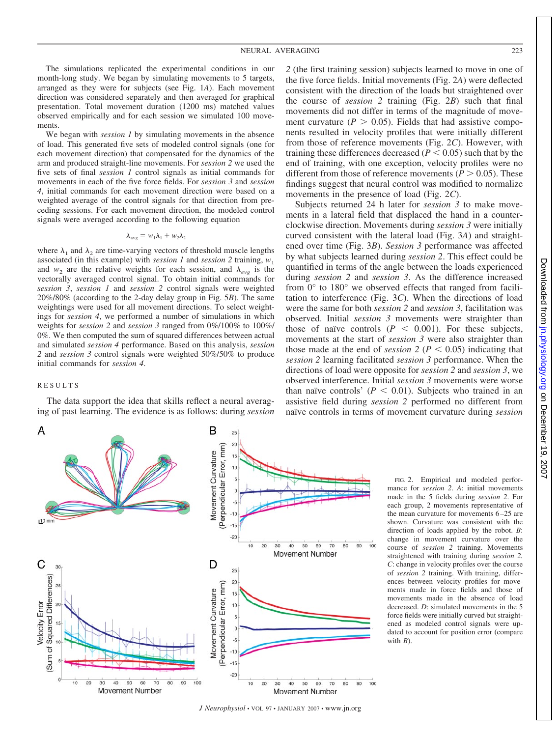The simulations replicated the experimental conditions in our month-long study. We began by simulating movements to 5 targets, arranged as they were for subjects (see Fig. 1*A*). Each movement direction was considered separately and then averaged for graphical presentation. Total movement duration (1200 ms) matched values observed empirically and for each session we simulated 100 movements.

We began with *session 1* by simulating movements in the absence of load. This generated five sets of modeled control signals (one for each movement direction) that compensated for the dynamics of the arm and produced straight-line movements. For *session 2* we used the five sets of final *session 1* control signals as initial commands for movements in each of the five force fields. For *session 3* and *session 4*, initial commands for each movement direction were based on a weighted average of the control signals for that direction from preceding sessions. For each movement direction, the modeled control signals were averaged according to the following equation

$$
\lambda_{\text{avg}} = w_1 \lambda_1 + w_2 \lambda_2
$$

where  $\lambda_1$  and  $\lambda_2$  are time-varying vectors of threshold muscle lengths associated (in this example) with *session 1* and *session 2* training, *w*<sup>1</sup> and  $w_2$  are the relative weights for each session, and  $\lambda_{e\nu\rho}$  is the vectorally averaged control signal. To obtain initial commands for *session 3*, *session 1* and *session 2* control signals were weighted 20%/80% (according to the 2-day delay group in Fig. 5*B*). The same weightings were used for all movement directions. To select weightings for *session 4*, we performed a number of simulations in which weights for *session 2* and *session 3* ranged from 0%/100% to 100%/ 0%. We then computed the sum of squared differences between actual and simulated *session 4* performance. Based on this analysis, *session 2* and *session 3* control signals were weighted 50%/50% to produce initial commands for *session 4*.

#### RESULTS

The data support the idea that skills reflect a neural averaging of past learning. The evidence is as follows: during *session* *2* (the first training session) subjects learned to move in one of the five force fields. Initial movements (Fig. 2*A*) were deflected consistent with the direction of the loads but straightened over the course of *session 2* training (Fig. 2*B*) such that final movements did not differ in terms of the magnitude of movement curvature ( $P > 0.05$ ). Fields that had assistive components resulted in velocity profiles that were initially different from those of reference movements (Fig. 2*C*). However, with training these differences decreased  $(P < 0.05)$  such that by the end of training, with one exception, velocity profiles were no different from those of reference movements ( $P > 0.05$ ). These findings suggest that neural control was modified to normalize movements in the presence of load (Fig. 2*C*).

Subjects returned 24 h later for *session 3* to make movements in a lateral field that displaced the hand in a counterclockwise direction. Movements during *session 3* were initially curved consistent with the lateral load (Fig. 3*A*) and straightened over time (Fig. 3*B*). *Session 3* performance was affected by what subjects learned during *session 2*. This effect could be quantified in terms of the angle between the loads experienced during *session 2* and *session 3*. As the difference increased from 0° to 180° we observed effects that ranged from facilitation to interference (Fig. 3*C*). When the directions of load were the same for both *session 2* and *session 3*, facilitation was observed. Initial *session 3* movements were straighter than those of naïve controls  $(P < 0.001)$ . For these subjects, movements at the start of *session 3* were also straighter than those made at the end of *session* 2 ( $P < 0.05$ ) indicating that *session 2* learning facilitated *session 3* performance. When the directions of load were opposite for *session 2* and *session 3*, we observed interference. Initial *session 3* movements were worse than naïve controls' ( $P < 0.01$ ). Subjects who trained in an assistive field during *session 2* performed no different from naïve controls in terms of movement curvature during *session* 

> FIG. 2. Empirical and modeled performance for *session 2*. *A*: initial movements made in the 5 fields during *session 2*. For each group, 2 movements representative of the mean curvature for movements 6-25 are shown. Curvature was consistent with the direction of loads applied by the robot. *B*: change in movement curvature over the 60 70 80 90 course of *session 2* training. Movements straightened with training during *session 2. C*: change in velocity profiles over the course of *session 2* training. With training, differences between velocity profiles for movements made in force fields and those of movements made in the absence of load decreased. *D*: simulated movements in the 5 force fields were initially curved but straightened as modeled control signals were updated to account for position error (compare with *B*).

*J Neurophysiol* • VOL 97 • JANUARY 2007 • www.jn.org

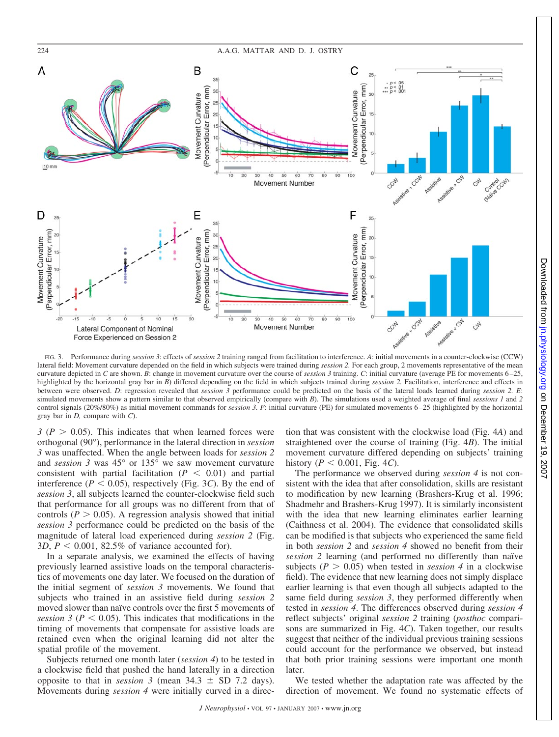

FIG. 3. Performance during *session 3*: effects of *session 2* training ranged from facilitation to interference. *A*: initial movements in a counter-clockwise (CCW) lateral field: Movement curvature depended on the field in which subjects were trained during *session* 2. For each group, 2 movements representative of the mean curvature depicted in *C* are shown. *B*: change in movement curvature over the course of *session 3* training. *C*: initial curvature (average PE for movements 6 –25, highlighted by the horizontal gray bar in *B*) differed depending on the field in which subjects trained during *session* 2. Facilitation, interference and effects in between were observed. *D*: regression revealed that *session 3* performance could be predicted on the basis of the lateral loads learned during *session 2. E*: simulated movements show a pattern similar to that observed empirically (compare with *B*). The simulations used a weighted average of final *sessions 1* and *2* control signals (20%/80%) as initial movement commands for *session 3. F*: initial curvature (PE) for simulated movements 6–25 (highlighted by the horizontal gray bar in *D,* compare with *C*).

 $3 (P > 0.05)$ . This indicates that when learned forces were orthogonal (90°), performance in the lateral direction in *session 3* was unaffected. When the angle between loads for *session 2* and *session* 3 was  $45^{\circ}$  or  $135^{\circ}$  we saw movement curvature consistent with partial facilitation  $(P < 0.01)$  and partial interference ( $P < 0.05$ ), respectively (Fig. 3C). By the end of *session 3*, all subjects learned the counter-clockwise field such that performance for all groups was no different from that of controls ( $P > 0.05$ ). A regression analysis showed that initial *session 3* performance could be predicted on the basis of the magnitude of lateral load experienced during *session 2* (Fig.  $3D, P \leq 0.001, 82.5\%$  of variance accounted for).

In a separate analysis, we examined the effects of having previously learned assistive loads on the temporal characteristics of movements one day later. We focused on the duration of the initial segment of *session 3* movements. We found that subjects who trained in an assistive field during *session 2* moved slower than naïve controls over the first 5 movements of *session 3 (* $P < 0.05$ *)*. This indicates that modifications in the timing of movements that compensate for assistive loads are retained even when the original learning did not alter the spatial profile of the movement.

Subjects returned one month later (*session 4*) to be tested in a clockwise field that pushed the hand laterally in a direction opposite to that in *session* 3 (mean  $34.3 \pm SD$  7.2 days). Movements during *session 4* were initially curved in a direction that was consistent with the clockwise load (Fig. 4*A*) and straightened over the course of training (Fig. 4*B*). The initial movement curvature differed depending on subjects' training history ( $P < 0.001$ , Fig. 4*C*).

The performance we observed during *session 4* is not consistent with the idea that after consolidation, skills are resistant to modification by new learning (Brashers-Krug et al. 1996; Shadmehr and Brashers-Krug 1997). It is similarly inconsistent with the idea that new learning eliminates earlier learning (Caithness et al. 2004). The evidence that consolidated skills can be modified is that subjects who experienced the same field in both *session 2* and *session 4* showed no benefit from their *session 2* learning (and performed no differently than naïve subjects ( $P > 0.05$ ) when tested in *session 4* in a clockwise field). The evidence that new learning does not simply displace earlier learning is that even though all subjects adapted to the same field during *session 3*, they performed differently when tested in *session 4*. The differences observed during *session 4* reflect subjects' original *session 2* training (*posthoc* comparisons are summarized in Fig. 4*C*). Taken together, our results suggest that neither of the individual previous training sessions could account for the performance we observed, but instead that both prior training sessions were important one month later.

We tested whether the adaptation rate was affected by the direction of movement. We found no systematic effects of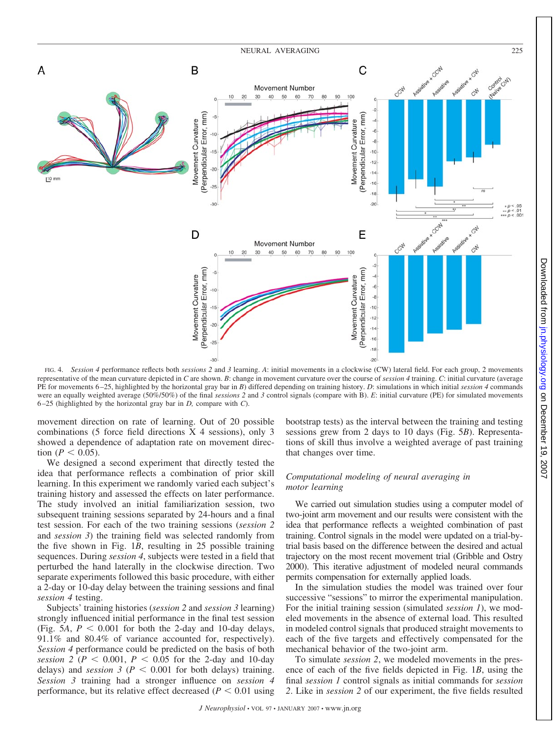

FIG. 4. *Session 4* performance reflects both *sessions 2* and *3* learning. *A*: initial movements in a clockwise (CW) lateral field. For each group, 2 movements representative of the mean curvature depicted in *C* are shown. *B*: change in movement curvature over the course of *session 4* training. *C*: initial curvature (average PE for movements 6 –25, highlighted by the horizontal gray bar in *B*) differed depending on training history. *D*: simulations in which initial *session 4* commands were an equally weighted average (50%/50%) of the final *sessions* 2 and 3 control signals (compare with B). *E*: initial curvature (PE) for simulated movements 6 –25 (highlighted by the horizontal gray bar in *D,* compare with *C*).

movement direction on rate of learning. Out of 20 possible combinations (5 force field directions X 4 sessions), only 3 showed a dependence of adaptation rate on movement direction ( $P < 0.05$ ).

We designed a second experiment that directly tested the idea that performance reflects a combination of prior skill learning. In this experiment we randomly varied each subject's training history and assessed the effects on later performance. The study involved an initial familiarization session, two subsequent training sessions separated by 24-hours and a final test session. For each of the two training sessions (*session 2* and *session 3*) the training field was selected randomly from the five shown in Fig. 1*B*, resulting in 25 possible training sequences. During *session 4*, subjects were tested in a field that perturbed the hand laterally in the clockwise direction. Two separate experiments followed this basic procedure, with either a 2-day or 10-day delay between the training sessions and final *session 4* testing.

Subjects' training histories (*session 2* and *session 3* learning) strongly influenced initial performance in the final test session (Fig. 5*A*,  $P < 0.001$  for both the 2-day and 10-day delays, 91.1% and 80.4% of variance accounted for, respectively). *Session 4* performance could be predicted on the basis of both *session* 2 ( $P < 0.001$ ,  $P < 0.05$  for the 2-day and 10-day delays) and *session*  $3$  ( $P < 0.001$  for both delays) training. *Session 3* training had a stronger influence on *session 4* performance, but its relative effect decreased  $(P < 0.01)$  using

bootstrap tests) as the interval between the training and testing sessions grew from 2 days to 10 days (Fig. 5*B*). Representations of skill thus involve a weighted average of past training that changes over time.

# *Computational modeling of neural averaging in motor learning*

We carried out simulation studies using a computer model of two-joint arm movement and our results were consistent with the idea that performance reflects a weighted combination of past training. Control signals in the model were updated on a trial-bytrial basis based on the difference between the desired and actual trajectory on the most recent movement trial (Gribble and Ostry 2000). This iterative adjustment of modeled neural commands permits compensation for externally applied loads.

In the simulation studies the model was trained over four successive "sessions" to mirror the experimental manipulation. For the initial training session (simulated *session 1*), we modeled movements in the absence of external load. This resulted in modeled control signals that produced straight movements to each of the five targets and effectively compensated for the mechanical behavior of the two-joint arm.

To simulate *session 2*, we modeled movements in the presence of each of the five fields depicted in Fig. 1*B*, using the final *session 1* control signals as initial commands for *session 2*. Like in *session 2* of our experiment, the five fields resulted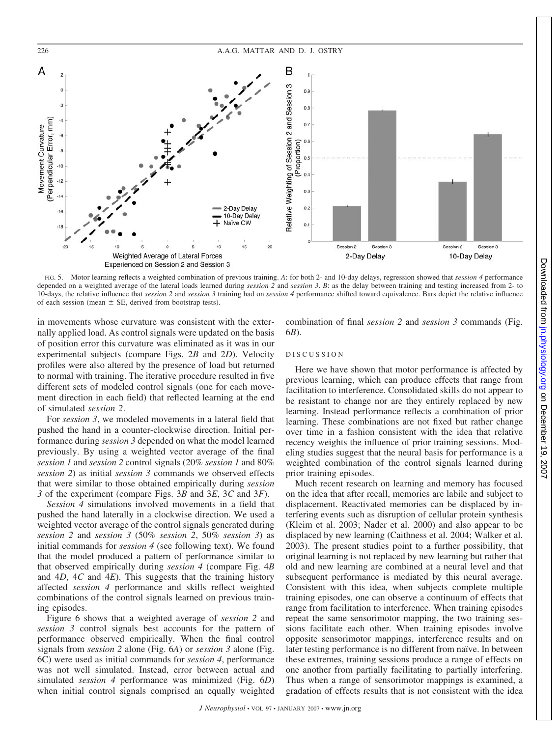2007



FIG. 5. Motor learning reflects a weighted combination of previous training. *A*: for both 2- and 10-day delays, regression showed that *session 4* performance depended on a weighted average of the lateral loads learned during *session 2* and *session 3*. *B*: as the delay between training and testing increased from 2- to 10-days, the relative influence that *session 2* and *session 3* training had on *session 4* performance shifted toward equivalence. Bars depict the relative influence of each session (mean  $\pm$  SE, derived from bootstrap tests).

in movements whose curvature was consistent with the externally applied load. As control signals were updated on the basis of position error this curvature was eliminated as it was in our experimental subjects (compare Figs. 2*B* and 2*D*). Velocity profiles were also altered by the presence of load but returned to normal with training. The iterative procedure resulted in five different sets of modeled control signals (one for each movement direction in each field) that reflected learning at the end of simulated *session 2*.

For *session 3*, we modeled movements in a lateral field that pushed the hand in a counter-clockwise direction. Initial performance during *session 3* depended on what the model learned previously. By using a weighted vector average of the final *session 1* and *session 2* control signals (20% *session 1* and 80% *session 2*) as initial *session 3* commands we observed effects that were similar to those obtained empirically during *session 3* of the experiment (compare Figs. 3*B* and 3*E*, 3*C* and 3*F*).

*Session 4* simulations involved movements in a field that pushed the hand laterally in a clockwise direction. We used a weighted vector average of the control signals generated during *session 2* and *session 3* (50% *session 2*, 50% *session 3*) as initial commands for *session 4* (see following text). We found that the model produced a pattern of performance similar to that observed empirically during *session 4* (compare Fig. 4*B* and 4*D*, 4*C* and 4*E*). This suggests that the training history affected *session 4* performance and skills reflect weighted combinations of the control signals learned on previous training episodes.

Figure 6 shows that a weighted average of *session 2* and *session 3* control signals best accounts for the pattern of performance observed empirically. When the final control signals from *session 2* alone (Fig. 6*A*) or *session 3* alone (Fig. 6C) were used as initial commands for *session 4*, performance was not well simulated. Instead, error between actual and simulated *session 4* performance was minimized (Fig. 6*D*) when initial control signals comprised an equally weighted combination of final *session 2* and *session 3* commands (Fig. 6*B*).

#### DISCUSSION

Here we have shown that motor performance is affected by previous learning, which can produce effects that range from facilitation to interference. Consolidated skills do not appear to be resistant to change nor are they entirely replaced by new learning. Instead performance reflects a combination of prior learning. These combinations are not fixed but rather change over time in a fashion consistent with the idea that relative recency weights the influence of prior training sessions. Modeling studies suggest that the neural basis for performance is a weighted combination of the control signals learned during prior training episodes.

Much recent research on learning and memory has focused on the idea that after recall, memories are labile and subject to displacement. Reactivated memories can be displaced by interfering events such as disruption of cellular protein synthesis (Kleim et al. 2003; Nader et al. 2000) and also appear to be displaced by new learning (Caithness et al. 2004; Walker et al. 2003). The present studies point to a further possibility, that original learning is not replaced by new learning but rather that old and new learning are combined at a neural level and that subsequent performance is mediated by this neural average. Consistent with this idea, when subjects complete multiple training episodes, one can observe a continuum of effects that range from facilitation to interference. When training episodes repeat the same sensorimotor mapping, the two training sessions facilitate each other. When training episodes involve opposite sensorimotor mappings, interference results and on later testing performance is no different from naïve. In between these extremes, training sessions produce a range of effects on one another from partially facilitating to partially interfering. Thus when a range of sensorimotor mappings is examined, a gradation of effects results that is not consistent with the idea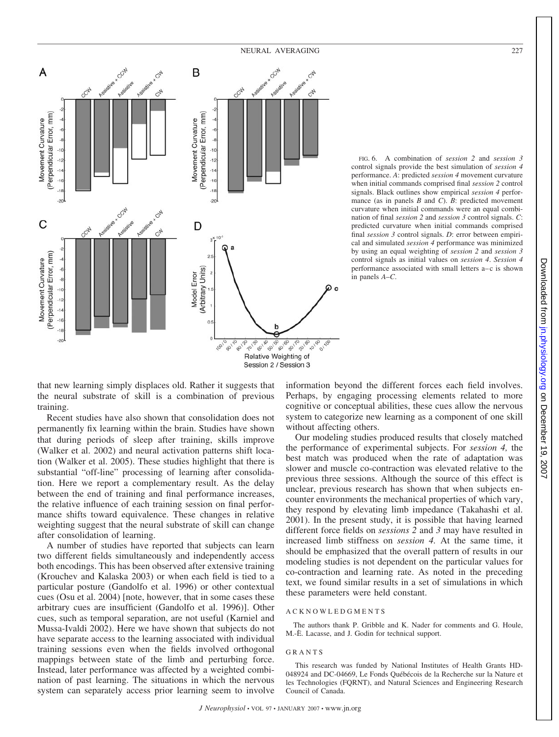

FIG. 6. A combination of *session 2* and *session 3* control signals provide the best simulation of *session 4* performance. *A*: predicted *session 4* movement curvature when initial commands comprised final *session 2* control signals. Black outlines show empirical *session 4* performance (as in panels *B* and *C*). *B*: predicted movement curvature when initial commands were an equal combination of final *session 2* and *session 3* control signals. *C*: predicted curvature when initial commands comprised final *session 3* control signals. *D*: error between empirical and simulated *session 4* performance was minimized by using an equal weighting of *session 2* and *session 3* control signals as initial values on *session 4*. *Session 4* performance associated with small letters a– c is shown in panels *A*–*C*.

that new learning simply displaces old. Rather it suggests that the neural substrate of skill is a combination of previous training.

Recent studies have also shown that consolidation does not permanently fix learning within the brain. Studies have shown that during periods of sleep after training, skills improve (Walker et al. 2002) and neural activation patterns shift location (Walker et al. 2005). These studies highlight that there is substantial "off-line" processing of learning after consolidation. Here we report a complementary result. As the delay between the end of training and final performance increases, the relative influence of each training session on final performance shifts toward equivalence. These changes in relative weighting suggest that the neural substrate of skill can change after consolidation of learning.

A number of studies have reported that subjects can learn two different fields simultaneously and independently access both encodings. This has been observed after extensive training (Krouchev and Kalaska 2003) or when each field is tied to a particular posture (Gandolfo et al. 1996) or other contextual cues (Osu et al. 2004) [note, however, that in some cases these arbitrary cues are insufficient (Gandolfo et al. 1996)]. Other cues, such as temporal separation, are not useful (Karniel and Mussa-Ivaldi 2002). Here we have shown that subjects do not have separate access to the learning associated with individual training sessions even when the fields involved orthogonal mappings between state of the limb and perturbing force. Instead, later performance was affected by a weighted combination of past learning. The situations in which the nervous system can separately access prior learning seem to involve information beyond the different forces each field involves. Perhaps, by engaging processing elements related to more cognitive or conceptual abilities, these cues allow the nervous system to categorize new learning as a component of one skill without affecting others.

Our modeling studies produced results that closely matched the performance of experimental subjects. For *session 4,* the best match was produced when the rate of adaptation was slower and muscle co-contraction was elevated relative to the previous three sessions. Although the source of this effect is unclear, previous research has shown that when subjects encounter environments the mechanical properties of which vary, they respond by elevating limb impedance (Takahashi et al. 2001). In the present study, it is possible that having learned different force fields on *sessions 2* and *3* may have resulted in increased limb stiffness on *session 4.* At the same time, it should be emphasized that the overall pattern of results in our modeling studies is not dependent on the particular values for co-contraction and learning rate. As noted in the preceding text, we found similar results in a set of simulations in which these parameters were held constant.

#### ACKNOWLEDGMENTS

The authors thank P. Gribble and K. Nader for comments and G. Houle, M.-E`. Lacasse, and J. Godin for technical support.

#### GRANTS

This research was funded by National Institutes of Health Grants HD-048924 and DC-04669, Le Fonds Québécois de la Recherche sur la Nature et les Technologies (FQRNT), and Natural Sciences and Engineering Research Council of Canada.